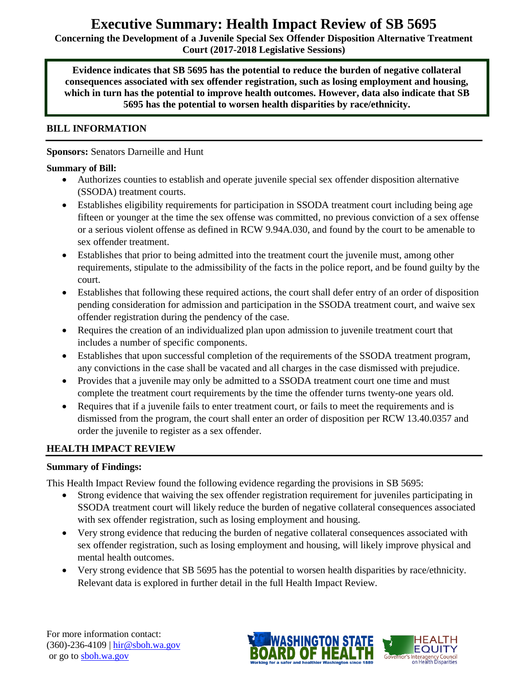# **Executive Summary: Health Impact Review of SB 5695**

**Concerning the Development of a Juvenile Special Sex Offender Disposition Alternative Treatment Court (2017-2018 Legislative Sessions)**

**Evidence indicates that SB 5695 has the potential to reduce the burden of negative collateral consequences associated with sex offender registration, such as losing employment and housing, which in turn has the potential to improve health outcomes. However, data also indicate that SB 5695 has the potential to worsen health disparities by race/ethnicity.**

## **BILL INFORMATION**

#### **Sponsors:** Senators Darneille and Hunt

#### **Summary of Bill:**

- Authorizes counties to establish and operate juvenile special sex offender disposition alternative (SSODA) treatment courts.
- Establishes eligibility requirements for participation in SSODA treatment court including being age fifteen or younger at the time the sex offense was committed, no previous conviction of a sex offense or a serious violent offense as defined in RCW 9.94A.030, and found by the court to be amenable to sex offender treatment.
- Establishes that prior to being admitted into the treatment court the juvenile must, among other requirements, stipulate to the admissibility of the facts in the police report, and be found guilty by the court.
- Establishes that following these required actions, the court shall defer entry of an order of disposition pending consideration for admission and participation in the SSODA treatment court, and waive sex offender registration during the pendency of the case.
- Requires the creation of an individualized plan upon admission to juvenile treatment court that includes a number of specific components.
- Establishes that upon successful completion of the requirements of the SSODA treatment program, any convictions in the case shall be vacated and all charges in the case dismissed with prejudice.
- Provides that a juvenile may only be admitted to a SSODA treatment court one time and must complete the treatment court requirements by the time the offender turns twenty-one years old.
- Requires that if a juvenile fails to enter treatment court, or fails to meet the requirements and is dismissed from the program, the court shall enter an order of disposition per RCW 13.40.0357 and order the juvenile to register as a sex offender.

#### **HEALTH IMPACT REVIEW**

#### **Summary of Findings:**

This Health Impact Review found the following evidence regarding the provisions in SB 5695:

- Strong evidence that waiving the sex offender registration requirement for juveniles participating in SSODA treatment court will likely reduce the burden of negative collateral consequences associated with sex offender registration, such as losing employment and housing.
- Very strong evidence that reducing the burden of negative collateral consequences associated with sex offender registration, such as losing employment and housing, will likely improve physical and mental health outcomes.
- Very strong evidence that SB 5695 has the potential to worsen health disparities by race/ethnicity. Relevant data is explored in further detail in the full Health Impact Review.

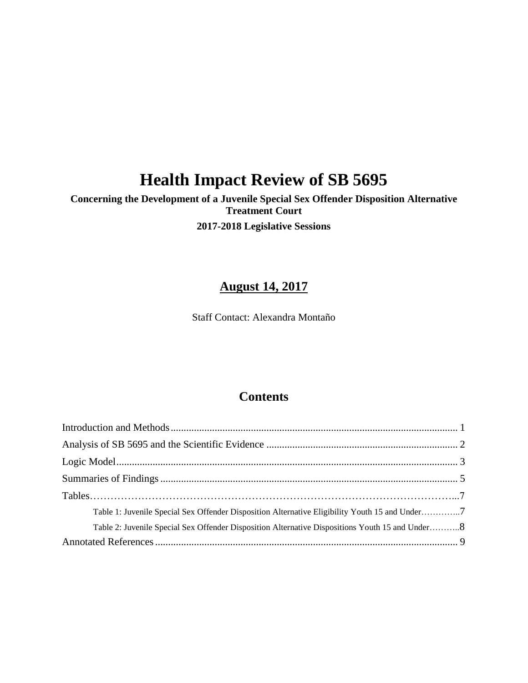# **Health Impact Review of SB 5695**

# **Concerning the Development of a Juvenile Special Sex Offender Disposition Alternative Treatment Court 2017-2018 Legislative Sessions**

# **August 14, 2017**

Staff Contact: Alexandra Montaño

# **Contents**

| Table 1: Juvenile Special Sex Offender Disposition Alternative Eligibility Youth 15 and Under7  |  |
|-------------------------------------------------------------------------------------------------|--|
| Table 2: Juvenile Special Sex Offender Disposition Alternative Dispositions Youth 15 and Under8 |  |
|                                                                                                 |  |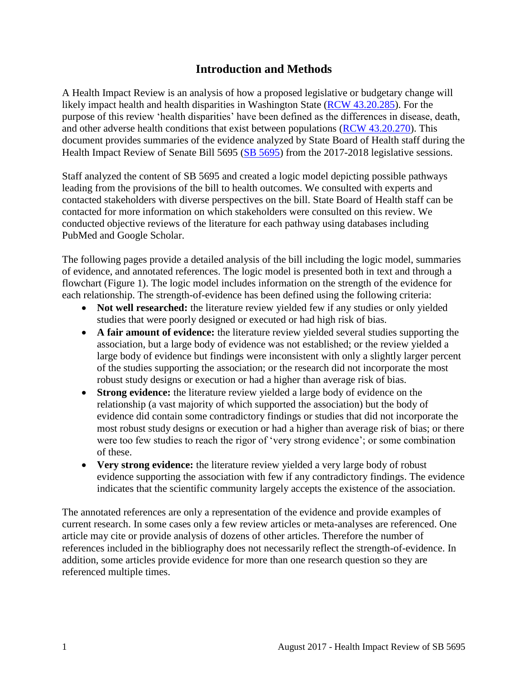# **Introduction and Methods**

<span id="page-2-0"></span>A Health Impact Review is an analysis of how a proposed legislative or budgetary change will likely impact health and health disparities in Washington State [\(RCW 43.20.285\)](http://apps.leg.wa.gov/rcw/default.aspx?cite=43.20.285). For the purpose of this review 'health disparities' have been defined as the differences in disease, death, and other adverse health conditions that exist between populations [\(RCW 43.20.270\)](http://apps.leg.wa.gov/rcw/default.aspx?cite=43.20.270). This document provides summaries of the evidence analyzed by State Board of Health staff during the Health Impact Review of Senate Bill 5695 [\(SB 5695\)](http://lawfilesext.leg.wa.gov/biennium/2017-18/Pdf/Bills/Senate%20Bills/5695.pdf) from the 2017-2018 legislative sessions.

Staff analyzed the content of SB 5695 and created a logic model depicting possible pathways leading from the provisions of the bill to health outcomes. We consulted with experts and contacted stakeholders with diverse perspectives on the bill. State Board of Health staff can be contacted for more information on which stakeholders were consulted on this review. We conducted objective reviews of the literature for each pathway using databases including PubMed and Google Scholar.

The following pages provide a detailed analysis of the bill including the logic model, summaries of evidence, and annotated references. The logic model is presented both in text and through a flowchart (Figure 1). The logic model includes information on the strength of the evidence for each relationship. The strength-of-evidence has been defined using the following criteria:

- **Not well researched:** the literature review yielded few if any studies or only yielded studies that were poorly designed or executed or had high risk of bias.
- **A fair amount of evidence:** the literature review yielded several studies supporting the association, but a large body of evidence was not established; or the review yielded a large body of evidence but findings were inconsistent with only a slightly larger percent of the studies supporting the association; or the research did not incorporate the most robust study designs or execution or had a higher than average risk of bias.
- **Strong evidence:** the literature review yielded a large body of evidence on the relationship (a vast majority of which supported the association) but the body of evidence did contain some contradictory findings or studies that did not incorporate the most robust study designs or execution or had a higher than average risk of bias; or there were too few studies to reach the rigor of 'very strong evidence'; or some combination of these.
- **Very strong evidence:** the literature review yielded a very large body of robust evidence supporting the association with few if any contradictory findings. The evidence indicates that the scientific community largely accepts the existence of the association.

The annotated references are only a representation of the evidence and provide examples of current research. In some cases only a few review articles or meta-analyses are referenced. One article may cite or provide analysis of dozens of other articles. Therefore the number of references included in the bibliography does not necessarily reflect the strength-of-evidence. In addition, some articles provide evidence for more than one research question so they are referenced multiple times.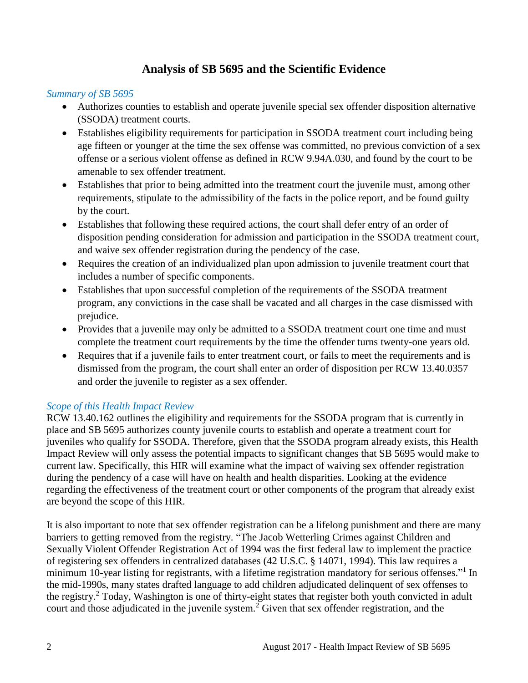# **Analysis of SB 5695 and the Scientific Evidence**

### <span id="page-3-0"></span>*Summary of SB 5695*

- Authorizes counties to establish and operate juvenile special sex offender disposition alternative (SSODA) treatment courts.
- Establishes eligibility requirements for participation in SSODA treatment court including being age fifteen or younger at the time the sex offense was committed, no previous conviction of a sex offense or a serious violent offense as defined in RCW 9.94A.030, and found by the court to be amenable to sex offender treatment.
- Establishes that prior to being admitted into the treatment court the juvenile must, among other requirements, stipulate to the admissibility of the facts in the police report, and be found guilty by the court.
- Establishes that following these required actions, the court shall defer entry of an order of disposition pending consideration for admission and participation in the SSODA treatment court, and waive sex offender registration during the pendency of the case.
- Requires the creation of an individualized plan upon admission to juvenile treatment court that includes a number of specific components.
- Establishes that upon successful completion of the requirements of the SSODA treatment program, any convictions in the case shall be vacated and all charges in the case dismissed with prejudice.
- Provides that a juvenile may only be admitted to a SSODA treatment court one time and must complete the treatment court requirements by the time the offender turns twenty-one years old.
- Requires that if a juvenile fails to enter treatment court, or fails to meet the requirements and is dismissed from the program, the court shall enter an order of disposition per RCW 13.40.0357 and order the juvenile to register as a sex offender.

# *Scope of this Health Impact Review*

RCW 13.40.162 outlines the eligibility and requirements for the SSODA program that is currently in place and SB 5695 authorizes county juvenile courts to establish and operate a treatment court for juveniles who qualify for SSODA. Therefore, given that the SSODA program already exists, this Health Impact Review will only assess the potential impacts to significant changes that SB 5695 would make to current law. Specifically, this HIR will examine what the impact of waiving sex offender registration during the pendency of a case will have on health and health disparities. Looking at the evidence regarding the effectiveness of the treatment court or other components of the program that already exist are beyond the scope of this HIR.

It is also important to note that sex offender registration can be a lifelong punishment and there are many barriers to getting removed from the registry. "The Jacob Wetterling Crimes against Children and Sexually Violent Offender Registration Act of 1994 was the first federal law to implement the practice of registering sex offenders in centralized databases (42 U.S.C. § 14071, 1994). This law requires a minimum 10-year listing for registrants, with a lifetime registration mandatory for serious offenses."<sup>1</sup> In the mid-1990s, many states drafted language to add children adjudicated delinquent of sex offenses to the registry.<sup>2</sup> Today, Washington is one of thirty-eight states that register both youth convicted in adult court and those adjudicated in the juvenile system.<sup>2</sup> Given that sex offender registration, and the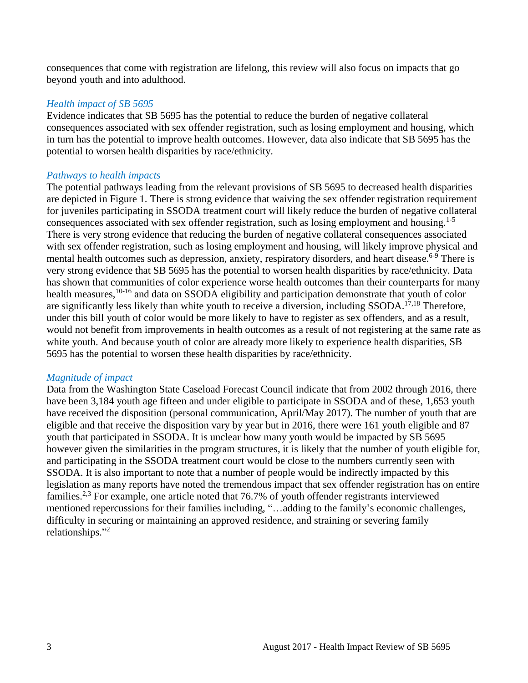consequences that come with registration are lifelong, this review will also focus on impacts that go beyond youth and into adulthood.

#### *Health impact of SB 5695*

Evidence indicates that SB 5695 has the potential to reduce the burden of negative collateral consequences associated with sex offender registration, such as losing employment and housing, which in turn has the potential to improve health outcomes. However, data also indicate that SB 5695 has the potential to worsen health disparities by race/ethnicity.

#### *Pathways to health impacts*

The potential pathways leading from the relevant provisions of SB 5695 to decreased health disparities are depicted in Figure 1. There is strong evidence that waiving the sex offender registration requirement for juveniles participating in SSODA treatment court will likely reduce the burden of negative collateral consequences associated with sex offender registration, such as losing employment and housing.<sup>1-5</sup> There is very strong evidence that reducing the burden of negative collateral consequences associated with sex offender registration, such as losing employment and housing, will likely improve physical and mental health outcomes such as depression, anxiety, respiratory disorders, and heart disease.<sup>6-9</sup> There is very strong evidence that SB 5695 has the potential to worsen health disparities by race/ethnicity. Data has shown that communities of color experience worse health outcomes than their counterparts for many health measures,<sup>10-16</sup> and data on SSODA eligibility and participation demonstrate that youth of color are significantly less likely than white youth to receive a diversion, including SSODA.17,18 Therefore, under this bill youth of color would be more likely to have to register as sex offenders, and as a result, would not benefit from improvements in health outcomes as a result of not registering at the same rate as white youth. And because youth of color are already more likely to experience health disparities, SB 5695 has the potential to worsen these health disparities by race/ethnicity.

#### *Magnitude of impact*

<span id="page-4-0"></span>Data from the Washington State Caseload Forecast Council indicate that from 2002 through 2016, there have been 3,184 youth age fifteen and under eligible to participate in SSODA and of these, 1,653 youth have received the disposition (personal communication, April/May 2017). The number of youth that are eligible and that receive the disposition vary by year but in 2016, there were 161 youth eligible and 87 youth that participated in SSODA. It is unclear how many youth would be impacted by SB 5695 however given the similarities in the program structures, it is likely that the number of youth eligible for, and participating in the SSODA treatment court would be close to the numbers currently seen with SSODA. It is also important to note that a number of people would be indirectly impacted by this legislation as many reports have noted the tremendous impact that sex offender registration has on entire families.2,3 For example, one article noted that 76.7% of youth offender registrants interviewed mentioned repercussions for their families including, "…adding to the family's economic challenges, difficulty in securing or maintaining an approved residence, and straining or severing family relationships." 2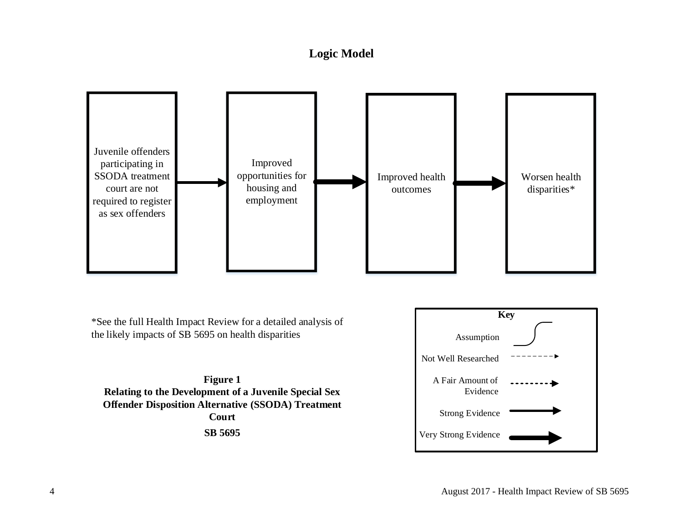# **Logic Model**



\*See the full Health Impact Review for a detailed analysis of the likely impacts of SB 5695 on health disparities

**Figure 1 Relating to the Development of a Juvenile Special Sex**  Figure 1<br>**Relating to the Development of a Juvenile Special Sex<br>Offender Disposition Alternative (SSODA) Treatment<br>Court Court SB 5695**

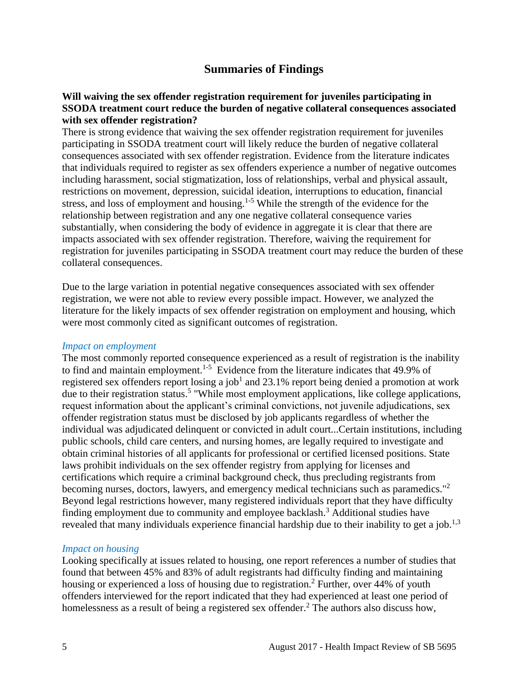# **Summaries of Findings**

#### <span id="page-6-0"></span>**Will waiving the sex offender registration requirement for juveniles participating in SSODA treatment court reduce the burden of negative collateral consequences associated with sex offender registration?**

There is strong evidence that waiving the sex offender registration requirement for juveniles participating in SSODA treatment court will likely reduce the burden of negative collateral consequences associated with sex offender registration. Evidence from the literature indicates that individuals required to register as sex offenders experience a number of negative outcomes including harassment, social stigmatization, loss of relationships, verbal and physical assault, restrictions on movement, depression, suicidal ideation, interruptions to education, financial stress, and loss of employment and housing.1-5 While the strength of the evidence for the relationship between registration and any one negative collateral consequence varies substantially, when considering the body of evidence in aggregate it is clear that there are impacts associated with sex offender registration. Therefore, waiving the requirement for registration for juveniles participating in SSODA treatment court may reduce the burden of these collateral consequences.

Due to the large variation in potential negative consequences associated with sex offender registration, we were not able to review every possible impact. However, we analyzed the literature for the likely impacts of sex offender registration on employment and housing, which were most commonly cited as significant outcomes of registration.

#### *Impact on employment*

The most commonly reported consequence experienced as a result of registration is the inability to find and maintain employment.<sup>1-5</sup> Evidence from the literature indicates that 49.9% of registered sex offenders report losing a job<sup>1</sup> and 23.1% report being denied a promotion at work due to their registration status.<sup>5</sup> "While most employment applications, like college applications, request information about the applicant's criminal convictions, not juvenile adjudications, sex offender registration status must be disclosed by job applicants regardless of whether the individual was adjudicated delinquent or convicted in adult court...Certain institutions, including public schools, child care centers, and nursing homes, are legally required to investigate and obtain criminal histories of all applicants for professional or certified licensed positions. State laws prohibit individuals on the sex offender registry from applying for licenses and certifications which require a criminal background check, thus precluding registrants from becoming nurses, doctors, lawyers, and emergency medical technicians such as paramedics."<sup>2</sup> Beyond legal restrictions however, many registered individuals report that they have difficulty finding employment due to community and employee backlash. <sup>3</sup> Additional studies have revealed that many individuals experience financial hardship due to their inability to get a job.<sup>1,3</sup>

#### *Impact on housing*

Looking specifically at issues related to housing, one report references a number of studies that found that between 45% and 83% of adult registrants had difficulty finding and maintaining housing or experienced a loss of housing due to registration.<sup>2</sup> Further, over 44% of youth offenders interviewed for the report indicated that they had experienced at least one period of homelessness as a result of being a registered sex offender.<sup>2</sup> The authors also discuss how,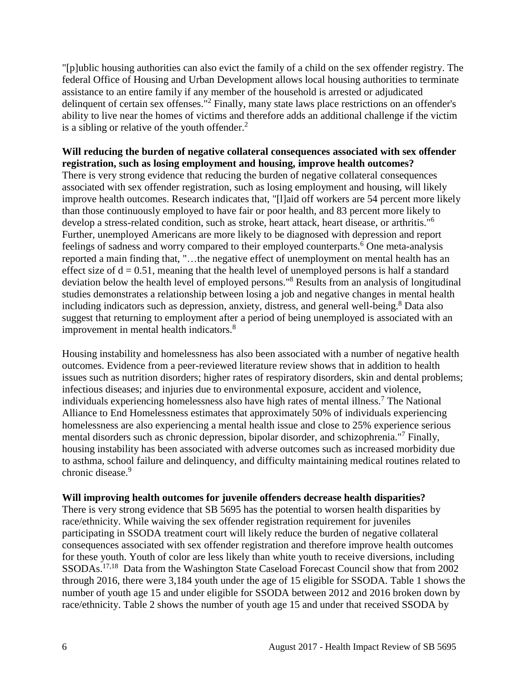"[p]ublic housing authorities can also evict the family of a child on the sex offender registry. The federal Office of Housing and Urban Development allows local housing authorities to terminate assistance to an entire family if any member of the household is arrested or adjudicated delinquent of certain sex offenses."<sup>2</sup> Finally, many state laws place restrictions on an offender's ability to live near the homes of victims and therefore adds an additional challenge if the victim is a sibling or relative of the youth offender. $<sup>2</sup>$ </sup>

**Will reducing the burden of negative collateral consequences associated with sex offender registration, such as losing employment and housing, improve health outcomes?** There is very strong evidence that reducing the burden of negative collateral consequences associated with sex offender registration, such as losing employment and housing, will likely improve health outcomes. Research indicates that, "[l]aid off workers are 54 percent more likely than those continuously employed to have fair or poor health, and 83 percent more likely to develop a stress-related condition, such as stroke, heart attack, heart disease, or arthritis."<sup>6</sup> Further, unemployed Americans are more likely to be diagnosed with depression and report feelings of sadness and worry compared to their employed counterparts.<sup>6</sup> One meta-analysis reported a main finding that, "…the negative effect of unemployment on mental health has an effect size of  $d = 0.51$ , meaning that the health level of unemployed persons is half a standard deviation below the health level of employed persons."<sup>8</sup> Results from an analysis of longitudinal studies demonstrates a relationship between losing a job and negative changes in mental health including indicators such as depression, anxiety, distress, and general well-being.<sup>8</sup> Data also suggest that returning to employment after a period of being unemployed is associated with an improvement in mental health indicators.<sup>8</sup>

Housing instability and homelessness has also been associated with a number of negative health outcomes. Evidence from a peer-reviewed literature review shows that in addition to health issues such as nutrition disorders; higher rates of respiratory disorders, skin and dental problems; infectious diseases; and injuries due to environmental exposure, accident and violence, individuals experiencing homelessness also have high rates of mental illness.<sup>7</sup> The National Alliance to End Homelessness estimates that approximately 50% of individuals experiencing homelessness are also experiencing a mental health issue and close to 25% experience serious mental disorders such as chronic depression, bipolar disorder, and schizophrenia."<sup>7</sup> Finally, housing instability has been associated with adverse outcomes such as increased morbidity due to asthma, school failure and delinquency, and difficulty maintaining medical routines related to chronic disease.<sup>9</sup>

#### **Will improving health outcomes for juvenile offenders decrease health disparities?**

There is very strong evidence that SB 5695 has the potential to worsen health disparities by race/ethnicity. While waiving the sex offender registration requirement for juveniles participating in SSODA treatment court will likely reduce the burden of negative collateral consequences associated with sex offender registration and therefore improve health outcomes for these youth. Youth of color are less likely than white youth to receive diversions, including SSODAs.<sup>17,18</sup> Data from the Washington State Caseload Forecast Council show that from 2002 through 2016, there were 3,184 youth under the age of 15 eligible for SSODA. Table 1 shows the number of youth age 15 and under eligible for SSODA between 2012 and 2016 broken down by race/ethnicity. Table 2 shows the number of youth age 15 and under that received SSODA by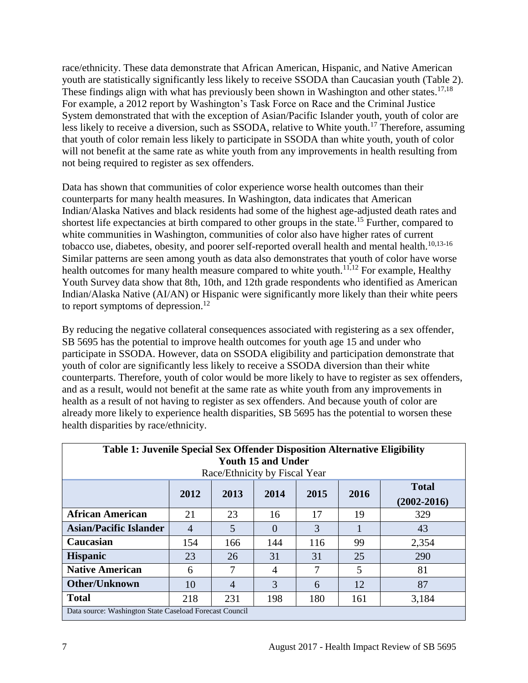race/ethnicity. These data demonstrate that African American, Hispanic, and Native American youth are statistically significantly less likely to receive SSODA than Caucasian youth (Table 2). These findings align with what has previously been shown in Washington and other states.<sup>17,18</sup> For example, a 2012 report by Washington's Task Force on Race and the Criminal Justice System demonstrated that with the exception of Asian/Pacific Islander youth, youth of color are less likely to receive a diversion, such as SSODA, relative to White youth.<sup>17</sup> Therefore, assuming that youth of color remain less likely to participate in SSODA than white youth, youth of color will not benefit at the same rate as white youth from any improvements in health resulting from not being required to register as sex offenders.

Data has shown that communities of color experience worse health outcomes than their counterparts for many health measures. In Washington, data indicates that American Indian/Alaska Natives and black residents had some of the highest age-adjusted death rates and shortest life expectancies at birth compared to other groups in the state.<sup>15</sup> Further, compared to white communities in Washington, communities of color also have higher rates of current tobacco use, diabetes, obesity, and poorer self-reported overall health and mental health.<sup>10,13-16</sup> Similar patterns are seen among youth as data also demonstrates that youth of color have worse health outcomes for many health measure compared to white youth.<sup>11,12</sup> For example, Healthy Youth Survey data show that 8th, 10th, and 12th grade respondents who identified as American Indian/Alaska Native (AI/AN) or Hispanic were significantly more likely than their white peers to report symptoms of depression.<sup>12</sup>

By reducing the negative collateral consequences associated with registering as a sex offender, SB 5695 has the potential to improve health outcomes for youth age 15 and under who participate in SSODA. However, data on SSODA eligibility and participation demonstrate that youth of color are significantly less likely to receive a SSODA diversion than their white counterparts. Therefore, youth of color would be more likely to have to register as sex offenders, and as a result, would not benefit at the same rate as white youth from any improvements in health as a result of not having to register as sex offenders. And because youth of color are already more likely to experience health disparities, SB 5695 has the potential to worsen these health disparities by race/ethnicity.

| Table 1: Juvenile Special Sex Offender Disposition Alternative Eligibility<br><b>Youth 15 and Under</b><br>Race/Ethnicity by Fiscal Year |      |                |                   |      |      |                                 |  |  |  |  |
|------------------------------------------------------------------------------------------------------------------------------------------|------|----------------|-------------------|------|------|---------------------------------|--|--|--|--|
|                                                                                                                                          | 2012 | 2013           | 2014              | 2015 | 2016 | <b>Total</b><br>$(2002 - 2016)$ |  |  |  |  |
| <b>African American</b>                                                                                                                  | 21   | 23             | 16                | 17   | 19   | 329                             |  |  |  |  |
| <b>Asian/Pacific Islander</b>                                                                                                            | 4    | 5              | $\mathbf{\Omega}$ | 3    |      | 43                              |  |  |  |  |
| Caucasian                                                                                                                                | 154  | 166            | 144               | 116  | 99   | 2,354                           |  |  |  |  |
| <b>Hispanic</b>                                                                                                                          | 23   | 26             | 31                | 31   | 25   | 290                             |  |  |  |  |
| <b>Native American</b>                                                                                                                   | 6    | 7              | 4                 | 7    | 5    | 81                              |  |  |  |  |
| <b>Other/Unknown</b>                                                                                                                     | 10   | $\overline{4}$ | 3                 | 6    | 12   | 87                              |  |  |  |  |
| <b>Total</b>                                                                                                                             | 218  | 231            | 198               | 180  | 161  | 3,184                           |  |  |  |  |
| Data source: Washington State Caseload Forecast Council                                                                                  |      |                |                   |      |      |                                 |  |  |  |  |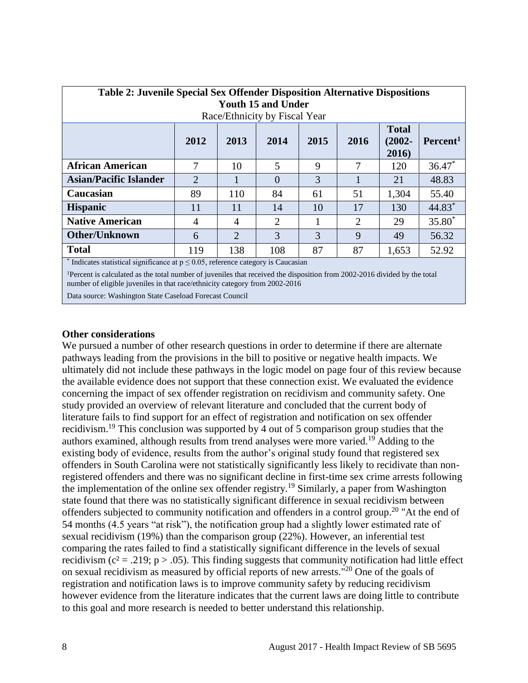| <b>Table 2: Juvenile Special Sex Offender Disposition Alternative Dispositions</b><br><b>Youth 15 and Under</b><br>Race/Ethnicity by Fiscal Year |                |                |          |      |      |                                    |                      |  |  |  |
|--------------------------------------------------------------------------------------------------------------------------------------------------|----------------|----------------|----------|------|------|------------------------------------|----------------------|--|--|--|
|                                                                                                                                                  | 2012           | 2013           | 2014     | 2015 | 2016 | <b>Total</b><br>$(2002 -$<br>2016) | Percent <sup>1</sup> |  |  |  |
| <b>African American</b>                                                                                                                          | 7              | 10             | 5        | 9    | 7    | 120                                | $36.47*$             |  |  |  |
| <b>Asian/Pacific Islander</b>                                                                                                                    | $\overline{2}$ | 1              | $\Omega$ | 3    |      | 21                                 | 48.83                |  |  |  |
| Caucasian                                                                                                                                        | 89             | 110            | 84       | 61   | 51   | 1,304                              | 55.40                |  |  |  |
| <b>Hispanic</b>                                                                                                                                  | 11             | 11             | 14       | 10   | 17   | 130                                | 44.83*               |  |  |  |
| <b>Native American</b>                                                                                                                           | $\overline{4}$ | 4              | 2        |      | 2    | 29                                 | $35.80*$             |  |  |  |
| <b>Other/Unknown</b>                                                                                                                             | 6              | $\overline{2}$ | 3        | 3    | 9    | 49                                 | 56.32                |  |  |  |
| <b>Total</b>                                                                                                                                     | 119            | 138            | 108      | 87   | 87   | 1,653                              | 52.92                |  |  |  |
| $*$ Indicates statistical significance at $n \leq 0.05$ reference category is Caucasian                                                          |                |                |          |      |      |                                    |                      |  |  |  |

Indicates statistical significance at  $p \le 0.05$ , reference category is Caucasian

<sup>1</sup>Percent is calculated as the total number of juveniles that received the disposition from 2002-2016 divided by the total number of eligible juveniles in that race/ethnicity category from 2002-2016

Data source: Washington State Caseload Forecast Council

#### **Other considerations**

We pursued a number of other research questions in order to determine if there are alternate pathways leading from the provisions in the bill to positive or negative health impacts. We ultimately did not include these pathways in the logic model on page four of this review because the available evidence does not support that these connection exist. We evaluated the evidence concerning the impact of sex offender registration on recidivism and community safety. One study provided an overview of relevant literature and concluded that the current body of literature fails to find support for an effect of registration and notification on sex offender recidivism.<sup>19</sup> This conclusion was supported by 4 out of 5 comparison group studies that the authors examined, although results from trend analyses were more varied.<sup>19</sup> Adding to the existing body of evidence, results from the author's original study found that registered sex offenders in South Carolina were not statistically significantly less likely to recidivate than nonregistered offenders and there was no significant decline in first-time sex crime arrests following the implementation of the online sex offender registry.<sup>19</sup> Similarly, a paper from Washington state found that there was no statistically significant difference in sexual recidivism between offenders subjected to community notification and offenders in a control group.<sup>20</sup> "At the end of 54 months (4.5 years "at risk"), the notification group had a slightly lower estimated rate of sexual recidivism (19%) than the comparison group (22%). However, an inferential test comparing the rates failed to find a statistically significant difference in the levels of sexual recidivism ( $c^2$  = .219; p > .05). This finding suggests that community notification had little effect on sexual recidivism as measured by official reports of new arrests."<sup>20</sup> One of the goals of registration and notification laws is to improve community safety by reducing recidivism however evidence from the literature indicates that the current laws are doing little to contribute to this goal and more research is needed to better understand this relationship.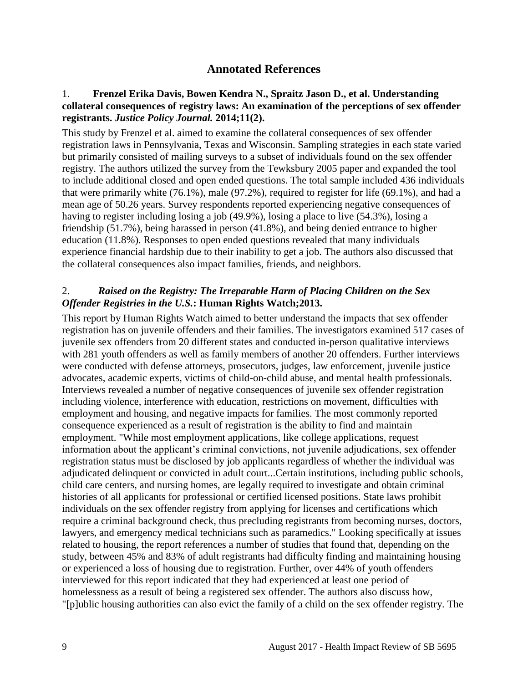# **Annotated References**

#### 1. **Frenzel Erika Davis, Bowen Kendra N., Spraitz Jason D., et al. Understanding collateral consequences of registry laws: An examination of the perceptions of sex offender registrants.** *Justice Policy Journal.* **2014;11(2).**

This study by Frenzel et al. aimed to examine the collateral consequences of sex offender registration laws in Pennsylvania, Texas and Wisconsin. Sampling strategies in each state varied but primarily consisted of mailing surveys to a subset of individuals found on the sex offender registry. The authors utilized the survey from the Tewksbury 2005 paper and expanded the tool to include additional closed and open ended questions. The total sample included 436 individuals that were primarily white (76.1%), male (97.2%), required to register for life (69.1%), and had a mean age of 50.26 years. Survey respondents reported experiencing negative consequences of having to register including losing a job (49.9%), losing a place to live (54.3%), losing a friendship (51.7%), being harassed in person (41.8%), and being denied entrance to higher education (11.8%). Responses to open ended questions revealed that many individuals experience financial hardship due to their inability to get a job. The authors also discussed that the collateral consequences also impact families, friends, and neighbors.

#### 2.*Raised on the Registry: The Irreparable Harm of Placing Children on the Sex Offender Registries in the U.S.***: Human Rights Watch;2013.**

This report by Human Rights Watch aimed to better understand the impacts that sex offender registration has on juvenile offenders and their families. The investigators examined 517 cases of juvenile sex offenders from 20 different states and conducted in-person qualitative interviews with 281 youth offenders as well as family members of another 20 offenders. Further interviews were conducted with defense attorneys, prosecutors, judges, law enforcement, juvenile justice advocates, academic experts, victims of child-on-child abuse, and mental health professionals. Interviews revealed a number of negative consequences of juvenile sex offender registration including violence, interference with education, restrictions on movement, difficulties with employment and housing, and negative impacts for families. The most commonly reported consequence experienced as a result of registration is the ability to find and maintain employment. "While most employment applications, like college applications, request information about the applicant's criminal convictions, not juvenile adjudications, sex offender registration status must be disclosed by job applicants regardless of whether the individual was adjudicated delinquent or convicted in adult court...Certain institutions, including public schools, child care centers, and nursing homes, are legally required to investigate and obtain criminal histories of all applicants for professional or certified licensed positions. State laws prohibit individuals on the sex offender registry from applying for licenses and certifications which require a criminal background check, thus precluding registrants from becoming nurses, doctors, lawyers, and emergency medical technicians such as paramedics." Looking specifically at issues related to housing, the report references a number of studies that found that, depending on the study, between 45% and 83% of adult registrants had difficulty finding and maintaining housing or experienced a loss of housing due to registration. Further, over 44% of youth offenders interviewed for this report indicated that they had experienced at least one period of homelessness as a result of being a registered sex offender. The authors also discuss how, "[p]ublic housing authorities can also evict the family of a child on the sex offender registry. The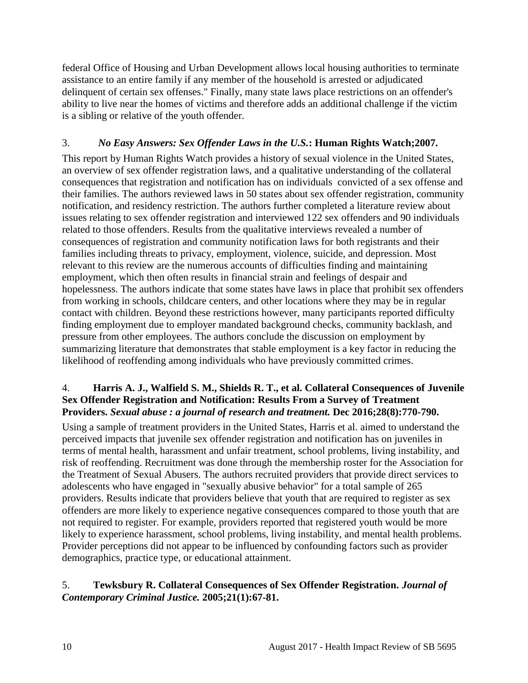federal Office of Housing and Urban Development allows local housing authorities to terminate assistance to an entire family if any member of the household is arrested or adjudicated delinquent of certain sex offenses." Finally, many state laws place restrictions on an offender's ability to live near the homes of victims and therefore adds an additional challenge if the victim is a sibling or relative of the youth offender.

# 3.*No Easy Answers: Sex Offender Laws in the U.S.***: Human Rights Watch;2007.**

This report by Human Rights Watch provides a history of sexual violence in the United States, an overview of sex offender registration laws, and a qualitative understanding of the collateral consequences that registration and notification has on individuals convicted of a sex offense and their families. The authors reviewed laws in 50 states about sex offender registration, community notification, and residency restriction. The authors further completed a literature review about issues relating to sex offender registration and interviewed 122 sex offenders and 90 individuals related to those offenders. Results from the qualitative interviews revealed a number of consequences of registration and community notification laws for both registrants and their families including threats to privacy, employment, violence, suicide, and depression. Most relevant to this review are the numerous accounts of difficulties finding and maintaining employment, which then often results in financial strain and feelings of despair and hopelessness. The authors indicate that some states have laws in place that prohibit sex offenders from working in schools, childcare centers, and other locations where they may be in regular contact with children. Beyond these restrictions however, many participants reported difficulty finding employment due to employer mandated background checks, community backlash, and pressure from other employees. The authors conclude the discussion on employment by summarizing literature that demonstrates that stable employment is a key factor in reducing the likelihood of reoffending among individuals who have previously committed crimes.

## 4. **Harris A. J., Walfield S. M., Shields R. T., et al. Collateral Consequences of Juvenile Sex Offender Registration and Notification: Results From a Survey of Treatment Providers.** *Sexual abuse : a journal of research and treatment.* **Dec 2016;28(8):770-790.**

Using a sample of treatment providers in the United States, Harris et al. aimed to understand the perceived impacts that juvenile sex offender registration and notification has on juveniles in terms of mental health, harassment and unfair treatment, school problems, living instability, and risk of reoffending. Recruitment was done through the membership roster for the Association for the Treatment of Sexual Abusers. The authors recruited providers that provide direct services to adolescents who have engaged in "sexually abusive behavior" for a total sample of 265 providers. Results indicate that providers believe that youth that are required to register as sex offenders are more likely to experience negative consequences compared to those youth that are not required to register. For example, providers reported that registered youth would be more likely to experience harassment, school problems, living instability, and mental health problems. Provider perceptions did not appear to be influenced by confounding factors such as provider demographics, practice type, or educational attainment.

# 5. **Tewksbury R. Collateral Consequences of Sex Offender Registration.** *Journal of Contemporary Criminal Justice.* **2005;21(1):67-81.**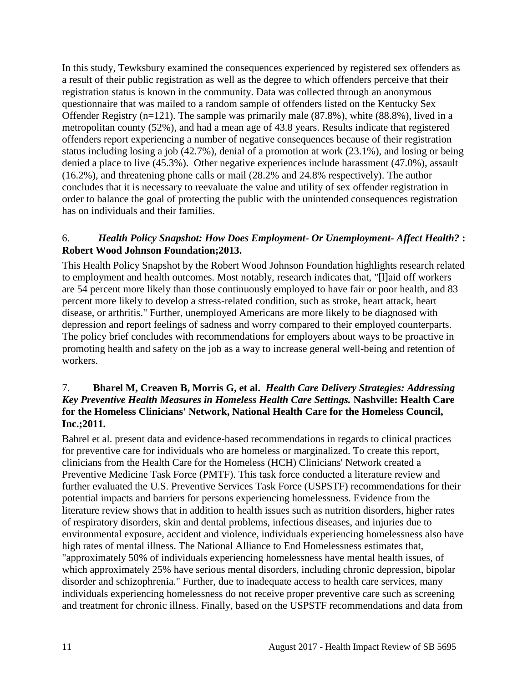In this study, Tewksbury examined the consequences experienced by registered sex offenders as a result of their public registration as well as the degree to which offenders perceive that their registration status is known in the community. Data was collected through an anonymous questionnaire that was mailed to a random sample of offenders listed on the Kentucky Sex Offender Registry  $(n=121)$ . The sample was primarily male  $(87.8\%)$ , white  $(88.8\%)$ , lived in a metropolitan county (52%), and had a mean age of 43.8 years. Results indicate that registered offenders report experiencing a number of negative consequences because of their registration status including losing a job (42.7%), denial of a promotion at work (23.1%), and losing or being denied a place to live (45.3%). Other negative experiences include harassment (47.0%), assault (16.2%), and threatening phone calls or mail (28.2% and 24.8% respectively). The author concludes that it is necessary to reevaluate the value and utility of sex offender registration in order to balance the goal of protecting the public with the unintended consequences registration has on individuals and their families.

### 6.*Health Policy Snapshot: How Does Employment- Or Unemployment- Affect Health?* **: Robert Wood Johnson Foundation;2013.**

This Health Policy Snapshot by the Robert Wood Johnson Foundation highlights research related to employment and health outcomes. Most notably, research indicates that, "[l]aid off workers are 54 percent more likely than those continuously employed to have fair or poor health, and 83 percent more likely to develop a stress-related condition, such as stroke, heart attack, heart disease, or arthritis." Further, unemployed Americans are more likely to be diagnosed with depression and report feelings of sadness and worry compared to their employed counterparts. The policy brief concludes with recommendations for employers about ways to be proactive in promoting health and safety on the job as a way to increase general well-being and retention of workers.

### 7. **Bharel M, Creaven B, Morris G, et al.** *Health Care Delivery Strategies: Addressing Key Preventive Health Measures in Homeless Health Care Settings.* **Nashville: Health Care for the Homeless Clinicians' Network, National Health Care for the Homeless Council, Inc.;2011.**

Bahrel et al. present data and evidence-based recommendations in regards to clinical practices for preventive care for individuals who are homeless or marginalized. To create this report, clinicians from the Health Care for the Homeless (HCH) Clinicians' Network created a Preventive Medicine Task Force (PMTF). This task force conducted a literature review and further evaluated the U.S. Preventive Services Task Force (USPSTF) recommendations for their potential impacts and barriers for persons experiencing homelessness. Evidence from the literature review shows that in addition to health issues such as nutrition disorders, higher rates of respiratory disorders, skin and dental problems, infectious diseases, and injuries due to environmental exposure, accident and violence, individuals experiencing homelessness also have high rates of mental illness. The National Alliance to End Homelessness estimates that, "approximately 50% of individuals experiencing homelessness have mental health issues, of which approximately 25% have serious mental disorders, including chronic depression, bipolar disorder and schizophrenia." Further, due to inadequate access to health care services, many individuals experiencing homelessness do not receive proper preventive care such as screening and treatment for chronic illness. Finally, based on the USPSTF recommendations and data from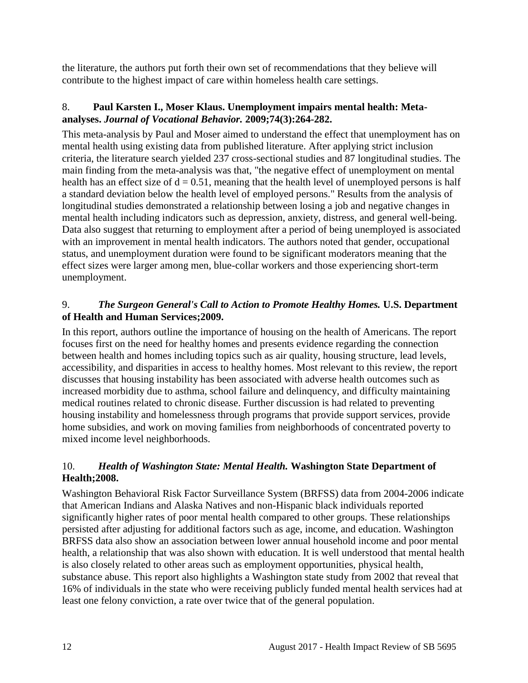the literature, the authors put forth their own set of recommendations that they believe will contribute to the highest impact of care within homeless health care settings.

## 8. **Paul Karsten I., Moser Klaus. Unemployment impairs mental health: Metaanalyses.** *Journal of Vocational Behavior.* **2009;74(3):264-282.**

This meta-analysis by Paul and Moser aimed to understand the effect that unemployment has on mental health using existing data from published literature. After applying strict inclusion criteria, the literature search yielded 237 cross-sectional studies and 87 longitudinal studies. The main finding from the meta-analysis was that, "the negative effect of unemployment on mental health has an effect size of  $d = 0.51$ , meaning that the health level of unemployed persons is half a standard deviation below the health level of employed persons." Results from the analysis of longitudinal studies demonstrated a relationship between losing a job and negative changes in mental health including indicators such as depression, anxiety, distress, and general well-being. Data also suggest that returning to employment after a period of being unemployed is associated with an improvement in mental health indicators. The authors noted that gender, occupational status, and unemployment duration were found to be significant moderators meaning that the effect sizes were larger among men, blue-collar workers and those experiencing short-term unemployment.

# 9.*The Surgeon General's Call to Action to Promote Healthy Homes.* **U.S. Department of Health and Human Services;2009.**

In this report, authors outline the importance of housing on the health of Americans. The report focuses first on the need for healthy homes and presents evidence regarding the connection between health and homes including topics such as air quality, housing structure, lead levels, accessibility, and disparities in access to healthy homes. Most relevant to this review, the report discusses that housing instability has been associated with adverse health outcomes such as increased morbidity due to asthma, school failure and delinquency, and difficulty maintaining medical routines related to chronic disease. Further discussion is had related to preventing housing instability and homelessness through programs that provide support services, provide home subsidies, and work on moving families from neighborhoods of concentrated poverty to mixed income level neighborhoods.

# 10.*Health of Washington State: Mental Health.* **Washington State Department of Health;2008.**

Washington Behavioral Risk Factor Surveillance System (BRFSS) data from 2004-2006 indicate that American Indians and Alaska Natives and non-Hispanic black individuals reported significantly higher rates of poor mental health compared to other groups. These relationships persisted after adjusting for additional factors such as age, income, and education. Washington BRFSS data also show an association between lower annual household income and poor mental health, a relationship that was also shown with education. It is well understood that mental health is also closely related to other areas such as employment opportunities, physical health, substance abuse. This report also highlights a Washington state study from 2002 that reveal that 16% of individuals in the state who were receiving publicly funded mental health services had at least one felony conviction, a rate over twice that of the general population.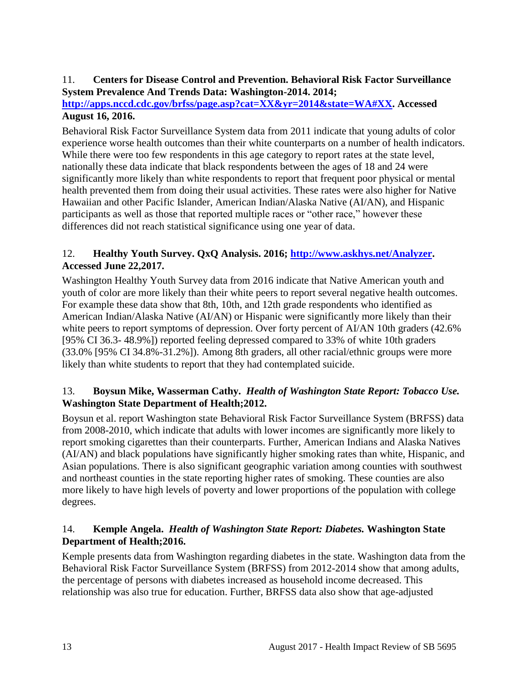#### 11. **Centers for Disease Control and Prevention. Behavioral Risk Factor Surveillance System Prevalence And Trends Data: Washington-2014. 2014;**

# **[http://apps.nccd.cdc.gov/brfss/page.asp?cat=XX&yr=2014&state=WA#XX.](http://apps.nccd.cdc.gov/brfss/page.asp?cat=XX&yr=2014&state=WA#XX) Accessed August 16, 2016.**

Behavioral Risk Factor Surveillance System data from 2011 indicate that young adults of color experience worse health outcomes than their white counterparts on a number of health indicators. While there were too few respondents in this age category to report rates at the state level, nationally these data indicate that black respondents between the ages of 18 and 24 were significantly more likely than white respondents to report that frequent poor physical or mental health prevented them from doing their usual activities. These rates were also higher for Native Hawaiian and other Pacific Islander, American Indian/Alaska Native (AI/AN), and Hispanic participants as well as those that reported multiple races or "other race," however these differences did not reach statistical significance using one year of data.

# 12. **Healthy Youth Survey. QxQ Analysis. 2016; [http://www.askhys.net/Analyzer.](http://www.askhys.net/Analyzer) Accessed June 22,2017.**

Washington Healthy Youth Survey data from 2016 indicate that Native American youth and youth of color are more likely than their white peers to report several negative health outcomes. For example these data show that 8th, 10th, and 12th grade respondents who identified as American Indian/Alaska Native (AI/AN) or Hispanic were significantly more likely than their white peers to report symptoms of depression. Over forty percent of AI/AN 10th graders (42.6%) [95% CI 36.3- 48.9%]) reported feeling depressed compared to 33% of white 10th graders (33.0% [95% CI 34.8%-31.2%]). Among 8th graders, all other racial/ethnic groups were more likely than white students to report that they had contemplated suicide.

# 13. **Boysun Mike, Wasserman Cathy.** *Health of Washington State Report: Tobacco Use.* **Washington State Department of Health;2012.**

Boysun et al. report Washington state Behavioral Risk Factor Surveillance System (BRFSS) data from 2008-2010, which indicate that adults with lower incomes are significantly more likely to report smoking cigarettes than their counterparts. Further, American Indians and Alaska Natives (AI/AN) and black populations have significantly higher smoking rates than white, Hispanic, and Asian populations. There is also significant geographic variation among counties with southwest and northeast counties in the state reporting higher rates of smoking. These counties are also more likely to have high levels of poverty and lower proportions of the population with college degrees.

# 14. **Kemple Angela.** *Health of Washington State Report: Diabetes.* **Washington State Department of Health;2016.**

Kemple presents data from Washington regarding diabetes in the state. Washington data from the Behavioral Risk Factor Surveillance System (BRFSS) from 2012-2014 show that among adults, the percentage of persons with diabetes increased as household income decreased. This relationship was also true for education. Further, BRFSS data also show that age-adjusted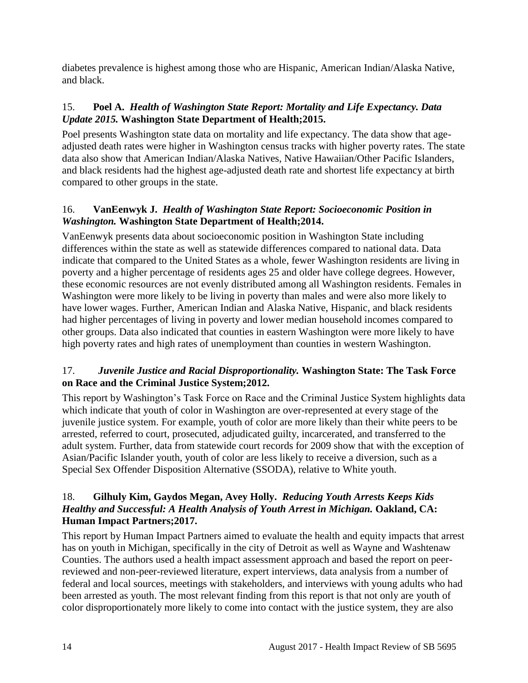diabetes prevalence is highest among those who are Hispanic, American Indian/Alaska Native, and black.

# 15. **Poel A.** *Health of Washington State Report: Mortality and Life Expectancy. Data Update 2015.* **Washington State Department of Health;2015.**

Poel presents Washington state data on mortality and life expectancy. The data show that ageadjusted death rates were higher in Washington census tracks with higher poverty rates. The state data also show that American Indian/Alaska Natives, Native Hawaiian/Other Pacific Islanders, and black residents had the highest age-adjusted death rate and shortest life expectancy at birth compared to other groups in the state.

# 16. **VanEenwyk J.** *Health of Washington State Report: Socioeconomic Position in Washington.* **Washington State Department of Health;2014.**

VanEenwyk presents data about socioeconomic position in Washington State including differences within the state as well as statewide differences compared to national data. Data indicate that compared to the United States as a whole, fewer Washington residents are living in poverty and a higher percentage of residents ages 25 and older have college degrees. However, these economic resources are not evenly distributed among all Washington residents. Females in Washington were more likely to be living in poverty than males and were also more likely to have lower wages. Further, American Indian and Alaska Native, Hispanic, and black residents had higher percentages of living in poverty and lower median household incomes compared to other groups. Data also indicated that counties in eastern Washington were more likely to have high poverty rates and high rates of unemployment than counties in western Washington.

# 17.*Juvenile Justice and Racial Disproportionality.* **Washington State: The Task Force on Race and the Criminal Justice System;2012.**

This report by Washington's Task Force on Race and the Criminal Justice System highlights data which indicate that youth of color in Washington are over-represented at every stage of the juvenile justice system. For example, youth of color are more likely than their white peers to be arrested, referred to court, prosecuted, adjudicated guilty, incarcerated, and transferred to the adult system. Further, data from statewide court records for 2009 show that with the exception of Asian/Pacific Islander youth, youth of color are less likely to receive a diversion, such as a Special Sex Offender Disposition Alternative (SSODA), relative to White youth.

## 18. **Gilhuly Kim, Gaydos Megan, Avey Holly.** *Reducing Youth Arrests Keeps Kids Healthy and Successful: A Health Analysis of Youth Arrest in Michigan. Oakland, CA:* **Human Impact Partners;2017.**

This report by Human Impact Partners aimed to evaluate the health and equity impacts that arrest has on youth in Michigan, specifically in the city of Detroit as well as Wayne and Washtenaw Counties. The authors used a health impact assessment approach and based the report on peerreviewed and non-peer-reviewed literature, expert interviews, data analysis from a number of federal and local sources, meetings with stakeholders, and interviews with young adults who had been arrested as youth. The most relevant finding from this report is that not only are youth of color disproportionately more likely to come into contact with the justice system, they are also